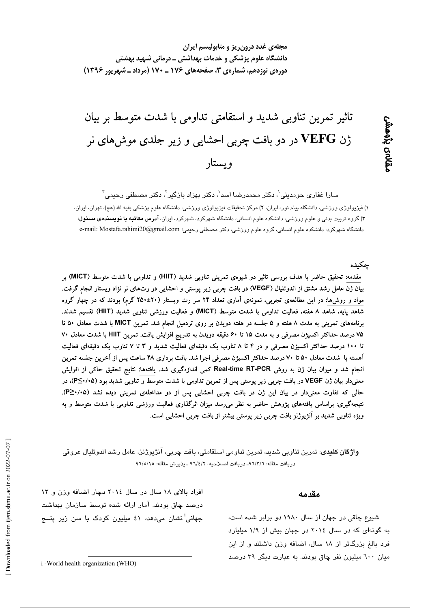Downloaded from ijem.sbmu.ac.ir on 2022-07-07

تاثیر تمرین تناوبی شدید و استقامتی تداومی با شدت متوسط بر بیان

ژن VEFG در دو بافت چربی احشایی و زیر جلدی موشهای نر ويستار

دانشگاه علوم پزشکی و خدمات بهداشتی ــ درمانی شهید بهشتی

دورهی نوزدهم، شمارهی ۳، صفحههای ۱۷۶ ـ ۱۷۰ (مرداد ـ شهریور ۱۳۹۶)

مجلهی غدد درون ریز و متابولیسم ایران

سارا غفاری حومدینی ٰ، دکتر محمدرضا اسد ٰ، دکتر بهزاد بازگیر ٰ، دکتر مصطفی رحیمی ؑ

١) فيزيولوژي ورزشي، دانشگاه پيام نور، ايران، ٢) مركز تحقيقات فيزيولوژي ورزشي، دانشگاه علوم پزشكي بقيه الله (عج)، تهران، ايران، ۳) گروه تربیت بدنی و علوم ورزشی، دانشکده علوم انسانی، دانشگاه شهرکرد، شهرکرد، ایران، آدرس م**کاتبه یا نویسند***هی* **مسئول**: دانشگاه شهرکرد، دانشکده علوم انسانی، گروه علوم ورزشی، دکتر مصطفی رحیمی؛ e-mail: Mostafa.rahimi20@gmail.com و

## چکىدە

مقدمه: تحقیق حاضر با هدف بررسی تاثیر دو شیوهی تمرینی تناوبی شدید (HIIT) و تداومی با شدت متوسط (MICT) بر بیان ژن عامل رشد مشتق از اندوتلیال (VEGF) در بافت چربی زیر پوستی و احشایی در رت0های نر نژاد ویستار انجام گرفت. مواد و روش۵ا: در این مطالعهی تجربی، نمونهی اَماری تعداد ۲۴ سر رت ویستار (۲۰±۲۵۰ گرم) بودند که در چهار گروه شاهد پایه، شاهد ۸ هفته، فعالیت تداومی با شدت متوسط (MICT) و فعالیت ورزشی تناوبی شدید (HIIT) تقسیم شدند. برنامههای تمرینی به مدت ۸ هفته و ۵ جلسه در هفته دویدن بر روی تردمیل انجام شد. تمرین MICT با شدت معادل ۵۰ تا ۷۵ درصد حداکثر اکسیژن مصرفی و به مدت ۱۵ تا ۶۰ دقیقه دویدن به تدریج افزایش یافت. تمرین HIIT با شدت معادل ۷۰ تا ۱۰۰ درصد حداکثر اکسیژن مصرفی و در ۴ تا ۸ تناوب یک دقیقهای فعالیت شدید و ۳ تا ۷ تناوب یک دقیقهای فعالیت آهسته با شدت معادل ۵۰ تا ۷۰ درصد حداکثر اکسیژن مصرفی اجرا شد. بافت برداری ۴۸ ساعت پس از آخرین جلسه تمرین انجام شد و میزان بیان ژن به روش Real-time RT-PCR کمی اندازهگیری شد. یافتهها: نتایج تحقیق حاکی از افزایش معنیدار بیان ژن VEGF در بافت چربی زیر پوستی پس از تمرین تداومی با شدت متوسط و تناوبی شدید بود (P≤۰/۰۵)، در حالی که تفاوت معنیدار در بیان این ژن در بافت چربی احشایی پس از دو مداخلهی تمرینی دیده نشد (P≥٠/٠۵). نتیجهگیری: براساس یافتههای پژوهش حاضر به نظر میرسد میزان اثرگذاری فعالیت ورزشی تداومی با شدت متوسط و به ویژه تناوبی شدید بر آنژیوژنز بافت چربی زیر پوستی بیشتر از بافت چربی احشایی است.

**واژگان کلیدی**: تمرین تناوبی شدید، تمرین تداومی استقامتی، بافت چربی، آنژیوژنز، عامل رشد اندوتلیال عروقی دريافت مقاله: ٩٦/٣/٦ـ دريافت اصلاحيه ٩٦/٤/٢٠ ـ يذيرش مقاله: ٩٦/٥/١٥

> شیوع چاقی در جهان از سال ۱۹۸۰ دو برابر شده است، به گونهای که در سال ٢٠١٤ در جهان بیش از ١/٩ میلیارد فرد بالغ بزرگتر از ١٨ سال، اضافه وزن داشتند و از اين میان ٦٠٠ میلیون نفر چاق بودند. به عبارت دیگر ۳۹ درصد

مقدمه

درصد چاق بودند. آمار ارائه شده توسط سازمان بهداشت جهانی<sup>!</sup> نشان می،دهد، ٤١ میلیون کودک با سن زیر پنــ*ج* 

افراد بالای ١٨ سال در سال ٢٠١٤ دچار اضافه وزن و ١٣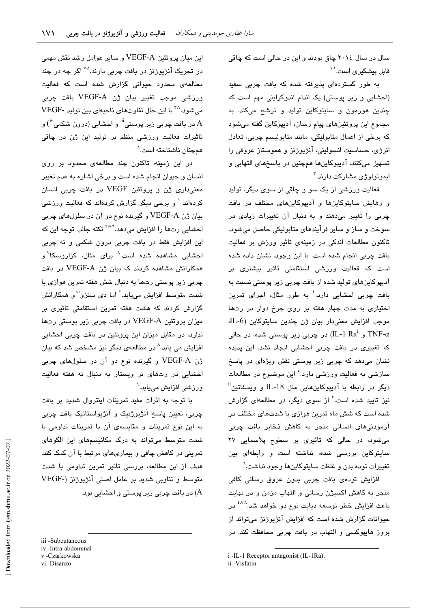سال در سال ۲۰۱٤ چاق بودند و این در حالی است که چاقی قابل پیشگیر *ی* است.<sup>۱۰۲</sup>

به طور گستردهای پذیرفته شده که بافت چربی سفید (احشایی و زیر پوستی) یک اندام اندوکراینی مهم است که چندین هورمون و سایتوکاین تولید و ترشح میکند. به مجموع این پروتئینهای پیام رسان، آدییوکاین گفته می شود که برخی از اعمال متابولیکی، مانند متابولیسم چربی، تعادل انرژی، حساسیت انسولینی، آنژیوژنز و هموستاز عروقی را تسهيل ميكنند. آديپوكاينها همچنين در پاسخهاى التهابي و ايمونولوژ*ی* مشارکت دارند.<sup>۳</sup>

فعالیت ورزشی از یک سو و چاقی از سوی دیگر، تولید و رهایش سایتوکاینها و آدیپوکاینهای مختلف در یافت چربی را تغییر میدهند و به دنبال آن تغییرات زیادی در سوخت و ساز و سایر فرآیندهای متابولیکی حاصل میشود. تاکنون مطالعات اندکی در زمینهی تاثیر ورزش بر فعالیت بافت چربی انجام شده است. با این وجود، نشان داده شده است که فعالیت ورزشی استقامتی تاثیر بیشتری بر آدیپوکاینهای تولید شده از بافت چربی زیر پوستی نسبت به بافت چربی احشایی دارد.<sup>؛</sup> به طور مثال، اجرای تمرین اختیاری به مدت چهار هفته بر روی چرخ دوار در رتها موجب افزايش معنىدار بيان ژن چندين سايتوكاين (L-6، و IL-1 Ra $^{\rm i}$ ر (IL-1 Ra $^{\rm i}$ ) در چربی زیر پوستی شده، در حالی که تغییر*ی د*ر بافت چربی احشایی ایجاد نشد. این پدیده نشان میدهد که چربی زیر پوستی نقش ویژهای در پاسخ سازشی به فعالیت ورزشی دارد.° این موضوع در مطالعات دیگر در رابطه با آدیپوکاینهایی مثل IL-18 و ویسفاتین<sup>ا</sup>ً نیز تایید شده است.<sup>۳</sup> از سوی دیگر، در مطالعهای گزارش شده است که شش ماه تمرین هوازی با شدتهای مختلف در آزمودنی های انسانی منجر به کاهش ذخایر بافت چربی میشود، در حالی که تاثیری بر سطوح پلاسمایی ۲۷ سایتوکاین بررسی شده، نداشته است و رابطهای بین تغییرات توده بدن و غلظت سایتوکاینها وجود نداشت.<sup>٦</sup>

افزایش تودهی بافت چربی بدون عروق رسانی کافی منجر به كاهش اكسيژن رسانى و التهاب مزمن و در نهايت باعث افزایش خطر توسعه دیابت نوع دو خواهد شد.<sup>۵٬۷۸</sup> در حیوانات گزارش شده است که افزایش آنژیوژنز میتواند از بروز هایپوکسی و التهاب در بافت چربی محافظت کند. در

i -IL-1 Receptor antagonist (IL-1Ra):

این میان پروتئین VEGF-A و سایر عوامل رشد نقش مهمی در تحریک آنژیوژنز در بافت چرب*ی* دارند.<sup>۷۰۸</sup> اگر چه در چند مطالعهی محدود حیوانی گزارش شده است که فعالیت ورزشی موجب تغییر بیان ژن VEGF-A بافت چربی مي شود، <sup>۲۸</sup> با اين حال تفاوتهاي ناحيهاي بين توليد -VEGF در بافت چربی زیر پوستی''' و احشایی (درون شکمی''<sup>)</sup> و  $\rm A$ تاثیرات فعالیت ورزشی منظم بر تولید این ژن در چاقی همچنان ناشناخته است.^

در این زمینه، تاکنون چند مطالعهی محدود بر روی انسان و حیوان انجام شده است و برخی اشاره به عدم تغییر معنیداری ژن و پروتئین VEGF در بافت چربی انسان کردهاند<sup>۱۰</sup> و پرخی دیگر گزارش کردهاند که فعالیت ورزشی بيان ژن VEGF-A و گيرنده نوع دو آن در سلولهاي چربي احشایی رتها را افزایش میدهد.<sup>۲٬۸۰</sup>۹ نکته جالب توجه این که این افزایش فقط در بافت چربی درون شکمی و نه چربی احشایی مشاهده شده است.<sup>۸</sup> برای مثال، کزاروسکا<sup>۷</sup>و همکارانش مشاهده کردند که بیان ژن VEGF-A در بافت چربی زیر پوستی رتها به دنبال شش هفته تمرین هوازی با شدت متوسط افزایش مییابد.<sup>۳</sup> اما دی سنزو<sup>۷۱</sup> و همکارانش گزارش کردند که هشت هفته تمرین استقامتی تاثیری بر میزان پروتئین VEGF-A در بافت چربی زیر پوستی رتها ندارد، در مقابل میزان این پروتئین در بافت چربی احشایی افزایش می یابد.<sup>^</sup> در مطالعهی دیگر نیز مشخص شد که بیان ژن VEGF-A و گیرنده نوع دو آن در سلولهای چربی احشایی در رتهای نر ویستار به دنبال نه هفته فعالیت ورزشی افزایش مییابد.<sup>۹</sup>

با توجه به اثرات مفید تمرینات اینتروال شدید بر بافت چربی، تعیین پاسخ آنژیوژنیک و آنژیواستاتیک بافت چربی به این نوع تمرینات و مقایسهی آن با تمرینات تداومی با شدت متوسط میتواند به درک مکانیسمهای این الگوهای تمرینی در کاهش چاقی و بیماریهای مرتبط با آن کمک کند. هدف از این مطالعه، بررسی تاثیر تمرین تداومی با شدت متوسط و تناوبی شدید بر عامل اصلی آنژیوژنز (-VEGF .<br>(A) در بافت چربی زیر پوستی و احشایی بود.

iii -Subcutaneous

iv-Intra-abdominal v-Czarkowska

vi-Disanzo

ii -Visfatin

Downloaded from ijem.sbmu.ac.ir on 2022-07-07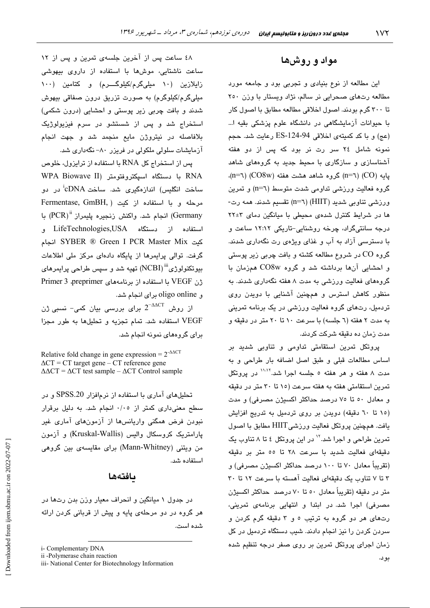## مواد و روشها

این مطالعه از نوع بنیادی و تجربی بود و جامعه مورد مطالعه رتهای صحرایی نر سالم، نژاد ویستار با وزن ٢٥٠ تا ٣٠٠ گرم بودند. اصول اخلاقی مطالعه مطابق با اصول کار با حیوانات آزمایشگاهی در دانشگاه علوم پزشکی بقیه ا… (عج) و با کد کمیتهی اخلاقی ES-124-94 رعایت شد. حجم نمونه شامل ٢٤ سر رت نر بود كه پس از دو هفته آشناسازی و سازگاری با محیط جدید به گروههای شاهد پایه (CO) (CO8w) گروه شاهد هشت هفته (CO8w) (n=٦). گروه فعالیت ورزشی تداومی شدت متوسط (n=٦) و تمرین ورزشی تناوبی شدید (HIIT) (n=٦) تقسیم شدند. همه رت-ها در شرایط کنترل شدهی محیطی با میانگین دمای ۲+۲۲ درجه سانتیگراد، چرخه روشنایی-تاریکی ۱۲:۱۲ ساعت و با دسترسمی آزاد به آب و غذای ویژهی رت نگهداری شدند. گروه CO در شروع مطالعه کشته و بافت چربی زیر پوستی و احشایی آنها برداشته شد و گروه CO8w همزمان با گروههای فعالیت ورزشی به مدت ۸ هفته نگهداری شدند. به منظور کاهش استرس و همچنین آشنایی با دویدن روی تردمیل، رتهای گروه فعالیت ورزشی در یک برنامه تمرینی به مدت ۲ هفته (٦ جلسه) با سرعت ۱۰ تا ۲۰ متر در دقیقه و مدت زمان ده دقیقه شرکت کردند.

پروتکل تمرین استقامتی تداومی و تناوبی شدید بر اساس مطالعات قبلی و طبق اصل اضافه بار طراحی و به مدت ۸ هفته و هر هفته ٥ جلسه اجرا شد.<sup>۱٬۱٬۲</sup> در پروتکل تمرین استقامتی هفته به هفته سرعت (۱۵ تا ۳۰ متر در دقیقه و معادل ٥٠ تا ٧٥ درصد حداكثر اكسيژن مصرفي) و مدت (١٥ تا ٦٠ دقيقه) دويدن بر روى تردميل به تدريج افزايش يافت. همچنين پروتكل فعاليت ورزشي HIIT مطابق با اصول تمرین طراحی و اجرا شد.'' در این پروتکل ٤ تا ٨ تناوب یک دقيقهاى فعاليت شديد با سرعت ٢٨ تا ٥٥ متر بر دقيقه (تقریباً معادل ۷۰ تا ۱۰۰ درصد حداکثر اکسیژن مصرفی) و ۳ تا ۷ تناوب یک دقیقهای فعالیت آهسته با سرعت ۱۲ تا ۳۰ متر در دقیقه (تقریباً معادل ٥٠ تا ٧٠ درصد حداکثر اکسیژن مصرفی) اجرا شد. در ابتدا و انتهایی برنامهی تمرینی، رتهای هر دو گروه به ترتیب ٥ و ٣ دقیقه گرم کردن و سردن کردن را نیز انجام دادند. شیب دستگاه تردمیل در کل زمان اجرای پروتکل تمرین بر روی صفر درجه تنظیم شده

بو د.

٤٨ ساعت پس از آخرين جلسهى تمرين و پس از ١٢ ساعت ناشتایی، موشها با استفاده از داروی بیهوشی زایلازین (۱۰ میلیگرم/کیلوگـــرم) و کتامین (۱۰۰ میلیگرم/کیلوگرم) به صورت تزریق درون صفاقی بیهوش شدند و بافت چربی زیر پوستی و احشایی (درون شکمی) استخراج شد و پس از شستشو در سرم فیزیولوژیک بلافاصله در نیتروژن مایع منجمد شد و جهت انجام آزمایشات سلولی ملکولی در فریزر ۸۰– نگهداری شد.

پس از استخراج کل RNA با استفاده از ترایزول، خلوص RNA با دستگاه اسپکتروفتومتر (WPA Biowave II ساخت انگلیس) اندازهگیری شد. ساخت cDNAٔ در دو Fermentase, GmBH, ) مرحله و ما استفاده از کنت Germany) انجام شد. واكنش زنجيره يليمراز "PCR) با استفاده از دستگاه LifeTechnologies,USA و كت SYBER ® Green I PCR Master Mix انجام گرفت. توالی پرایمرها از پایگاه دادهای مرکز ملی اطلاعات بیوتکنولوژی<sup>iii</sup> (NCBI) تهیه شد و سپس طراحی پرایمرها*ی* زن VEGF با استفاده از برنامههای Primer 3 .preprimer و oligo online برای انجام شد.

از روش  $2^{-\Delta\Delta C T}$  برای بررسی بیان کمی– نسبی ژن VEGF استفاده شد. تمام تجزيه و تحليلها به طور مجزا برای گروههای نمونه انجام شد.

Relative fold change in gene expression =  $2^{\triangle \triangle C}$  $\Delta CT$  = CT target gene – CT reference gene  $\Delta \Delta CT = \Delta CT$  test sample –  $\Delta CT$  Control sample

تحلیلهای آماری با استفاده از نرمافزار SPSS.20 و در سطح معنیداری کمتر از ۰/۰٥ انجام شد. به دلیل برقرار نبودن فرض همگنی واریانسها از آزمونهای آماری غیر پارامتریک کروسکال والیس (Kruskal-Wallis) و آزمون من ویتنی (Mann-Whitney) برای مقایسهی بین گروهی استفاده شد.

### ىافتەھا

در جدول ۱ میانگین و انحراف معیار وزن بدن رتها در هر گروه در دو مرحلهی پایه و پیش از قربانی کردن ارائه شده است.

Downloaded from ijem.sbmu.ac.ir on 2022-07-07

i- Complementary DNA

ii -Polymerase chain reaction

iii- National Center for Biotechnology Information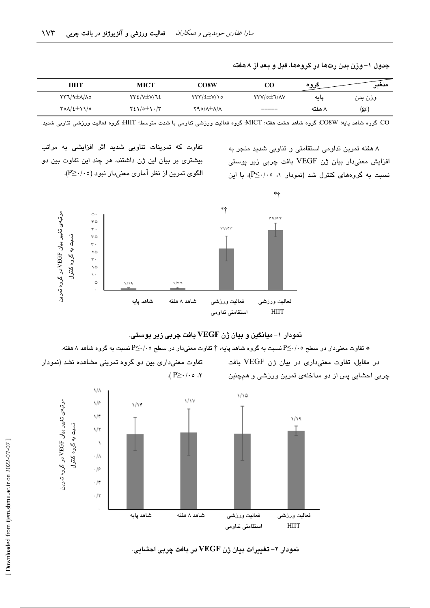| HIIT             | MICT                 | CO8W                                             | CO                | عروه   | متغد<br>◡… |
|------------------|----------------------|--------------------------------------------------|-------------------|--------|------------|
| <b>CAIA±A/TY</b> | <b>TTE/V±V/72</b>    | $\Upsilon\Upsilon\Upsilon/2\pm\Upsilon/\Upsilon$ | <b>YTV/o±J/AV</b> | پایه   | وزن بدن    |
| 701/2±11/0       | $Y\S1/\circ \pm 1.7$ | Y90/A±A/A                                        | _____             | ۸ هفته | (gr        |

جدول ۱– وزن بدن رتها در گروهها، قبل و بعد از ۸هفته

.<br>CO: گروه شاهد پایه؛ CO8W: گروه شاهد هشت هفته؛ MICT: گروه فعالیت ورزشی تداومی با شدت متوسط؛ HIIT: گروه فعالیت ورزشی تناوبی شدید.

۸ هفته تمرین تداومی استقامتی و تناوبی شدید منجر به افزایش معنی،دار بیان ژن VEGF بافت چربی زیر پوستی نسبت به گروههای کنترل شد (نمودار ۱، ۰۵-<P)، با این

تفاوت که تمرینات تناوبی شدید اثر افزایشی به مراتب بیشتری بر بیان این ژن داشتند، هر چند این تفاوت بین دو الگوی تمرین از نظر آماری معنیدار نبود (P≥·/۰٥).



نمودار ۱- میانگین و بیان ژن VEGF بافت چربی زیر پوستی.

شقاوت معنیدار در سطح ۲/۰۰-P≦ نسبت به گروه شاهد پایه، † تفاوت معنیدار در سطح ۲/۰۰-P≦ نسبت به گروه شاهد ۸ هفته.

در مقابل، تفاوت معنى دارى در بيان ژن VEGF بافت چربی احشایی پس از دو مداخلهی تمرین ورزشی و همچنین

تفاوت معنیداری بین دو گروه تمرینی مشاهده نشد (نمودار  $\cdot$  ۲، ه $\cdot$ /۰ $\leq$  ۹).



نمودار ۲- تغییرات بیان ژن VEGF در بافت چربی احشانی.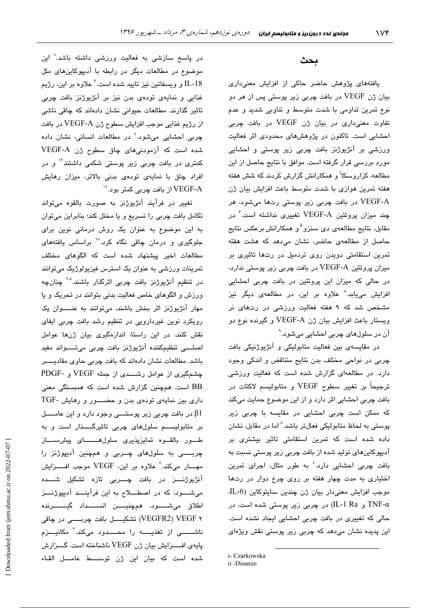### بحث

یافتههای پژوهش حاضر حاکی از افزایش معنیداری بیان ژن VEGF در بافت چربی زیر پوستی پس از هر دو نوع تمرین تداومی با شدت متوسط و تناوبی شدید و عدم تفاوت معنیداری در بیان ژن VEGF در بافت چربی احشایی است. تاکنون در پژوهشهای محدودی اثر فعالیت ورزشی بر آنژیوژنز بافت چربی زیر پوستی و احشایی مورد بررسی قرار گرفته است. موافق با نتایج حاصل از این مطالعه، کزاروسکا<sup>۱</sup> و همکارانش گزارش کردند که شش هفته هفته تمرین هوازی با شدت متوسط باعث افزایش بیان ژن .<br>VEGF-A در بافت چربی زیر پوستی رتها میشود، هر چند میزان پروتئین VEGF-A تغییری نداشته است.<sup>۲</sup> در مقابل، نتایج مطالعهی دی سنزو<sup>ii</sup> و همکارانش برعکس نتایج حاصل از مطالعهی حاضر، نشان میدهد که هشت هفته تمرین استقامتی دویدن روی تردمیل در رتها تاثیری بر میزان پروتئین VEGF-A در بافت چربی زیر پوستی ندارد، در حالی که میزان این پروتئین در بافت چربی احشایی افزایش می<sub>ع</sub>ابد.<sup>۸</sup> علاوه بر این، در مطالعهی دیگر نیز مشخص شد که ۹ هفته فعالیت ورزشی در رتهای نر ويستار باعث افزايش بيان ژن VEGF-A و گيرنده نوع دو آن در سلولهای چربی احشایی میشود.<sup>۹</sup>

در مقایسهی بین فعالیت متابولیکی و آنژیوژنیکی بافت چربی در نواحی مختلف بدن نتایج متناقض و اندکی وجود دارد. در مطالعهای گزارش شده است که فعالیت ورزشی ترجيحاً بر تغيير سطوح VEGF و متابوليسم لاكتات در بافت چربی احشایی اثر دارد و از این موضوع حمایت میکند که ممکن است چربی احشایی در مقایسه با چربی زیر پوستی به لحاظ متابولیکی فعالتر باشد.^ اما در مقابل، نشان داده شده است که تمرین استقامتی تاثیر بیشتری بر آدیپوکاینهای تولید شده از بافت چربی زیر پوستی نسبت به بافت چربی احشایی دارد.<sup>؛</sup> به طور مثال، اجرای تمرین اختیاری به مدت چهار هفته بر روی چرخ دوار در رتها موجب افزایش معنیدار بیان ژن چندین سایتوکاین (L-6 TNF-α و IL-1 Ra) در چربی زیر پوستی شده است، در حالی که تغییری در بافت چربی احشایی ایجاد نشده است. این پدیده نشان میدهد که چربی زیر پوستی نقش ویژهای

در پاسخ سازشی به فعالیت ورزشی داشته باشد. ْاین موضوع در مطالعات دیگر در رابطه با آدیپوکاین های مثل IL-18 و ويسفاتين نيز تاييد شده است.<sup>۲</sup> علاوه بر اين، رژيم غذایی و نمایهی تودهی بدن نیز بر آنژیوژنز بافت چربی تاثیر گذارند. مطالعات حیوانی نشان دادهاند که چاقی ناشی از رژيم غذايي موجب افزايش سطوح ژن VEGF-A در بافت چربی احشایی میشود.<sup>؛</sup> در مطالعات انسانی، نشان داده شده است که آزمودنی های چاق سطوح ژن VEGF-A کمتر*ی* در بافت چربی زیر پوستی شکمی داشتند<sup>۱۲</sup> و در افراد چاق با نمایهی تودهی بدنی بالاتر، میزان رهایش از بافت چربی کمتر بود. $^{16}$  VEGF-A

تغییر در فرآیند آنژیوژنز به صورت بالقوه میتواند تکامل بافت چربی را تسریع و یا مختل کند؛ بنابراین میتوان به این موضوع به عنوان یک روش درمانی نوین برای جلوگیری و درمان چاقی نگاه کرد.<sup>۱</sup>° براساس یافتههای مطالعات اخیر پیشنهاد شده است که الگوهای مختلف تمرینات ورزشی به عنوان یک استرس فیزیولوژیک میتوانند در تنظیم آنژیوژنز بافت چربی اثرگذار باشند.<sup>^</sup>″ چنانچه ورزش و الگوهای خاص فعالیت بدنی بتوانند در تحریک و یا مهار آنژیوژنز اثر بخش باشند، میتوانند به عنــــوان یک رویکرد نوین غیردارویی در تنظیم رشد بافت چربی ایفای نقش کنند. در این راستا، اندازهگیری بیان ژنها عوامل اصلــــی تنظیمکننده آنژیوژنز بافت چربی میتـــــواند مفید باشد. مطالعات نشان دادهاند که بافت چربی حاوی مقادیسو چشمگیری از عوامل رشــــدی از جمله VEGF و -PDGF BB است. همچنین گزارش شده است که همبستگی معنی داری بین نمایهی تودهی بدن و حضــور و رهایش -TGF در بافت چربی زیر پوستـــی وجود دارد و این عامـــــل  $\beta1$ بر متابولیســـم سلولهای چربی تاثیرگـــــذار است و به طور بالقوه تمايزپذيرى سلول هـــــاى پيش ســاز چربــــی به سلولهای چــربی و همچنین آدیپوژنز را مهــــار مىكند.<sup>۳</sup> علاوه بر اين، VEGF موجب افـــــزايش آنژیوژنــــز در بافت چـــــربی تازه تشکیل شـــــده می شعود، که در اصطلاح به این فرآیند آدیپوژنتز اطلاق مىشىسود. ھمچنيىن انسىسداد گيىسىرندە ۷ VEGFR2) VEGF) تشكيـــــل بافت چربـــــــي در چاقي ناشــــــــی از تغذیـــــــه را محــــــدود میکند.<sup>۲</sup> مکانیــــزم پایهی افــزایش بیان ژن VEGF ناشناخته است. گــزارش شده است كه بيان اين ژن توســـط عامـــل القـاء

i- Czarkowska

ii -Disanzo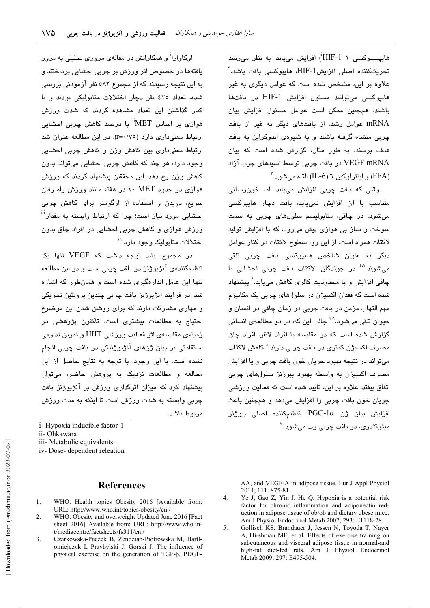هاییــــوکسی-۱ HIF-1') افزایش میبابد. به نظر می رسد تحریککننده اصلی افزایشIHF-1، هایپوکسی بافت باشد.<sup>۳</sup> علاوه بر این، مشخص شده است که عوامل دیگری به غیر هاییوکسی میتوانند مسئول افزایش HIF-1 در بافتها باشند. همچنین ممکن است عوامل مسئول افزایش بیان mRNA عوامل رشد، از بافتهای دیگر به غیر از بافت چربی منشاء گرفته باشند و به شیوهی اندوکراین به بافت هدف برسند. به طور مثال، گزارش شده است که بیان VEGF mRNA در يافت چربي توسط استدهاي چرب آزاد  $^7$ و اینترلوکین ٦ (IL-6) القاء می شود.

وقتی که بافت چربی افزایش مییابد، اما خون رسانی متناسب یا آن افزایش نمی،باید، یافت دچار هایپوکسی میشود. در چاقی، متابولیسم سلولهای چربی به سمت سوخت و ساز بی هوازی پیش میرود، که با افزایش تولید لاكتات همراه است. از این رق سطوح لاكتات در كنار عوامل دیگر به عنوان شاخص هایپوکسی بافت چربی تلقی می،شوند.<sup>^ۀ</sup> در جوندگان، لاکتات بافت چربی احشایی با ڇاقي افزايش و يا محدوديت کالر*ي* کاهش مي،پايد.<sup>٤</sup> پيشنهاد شده است که فقدان اکسیژن در سلولهای چربی یک مکانیزم مهم التهاب مزمن در بافت چربی در زمان چاقی در انسان و حيوان تلقي مي شود.<sup>^^</sup> جالب اين كه، در دو مطالعهي انساني گزارش شده است که در مقایسه با افراد لاغر، افراد چاق مصرف اکسیژن کمتری در بافت چربی دارند.^ کاهش لاکتات میتواند در نتیجه بهبود جریان خون بافت چربی و یا افزایش مصرف اکسیژن به واسطه بهبود بیوژنز سلولهای چربی اتفاق بیفتد. علاوه بر این، تایید شده است که فعالیت ورزشی جريان خون بافت چربي را افزايش مي دهد و همچنين باعث افزايش بيان ژن PGC-1α تنظيمكننده اصلى بيوژنز مبتوکندری، در بافت چربی رت میشود. <sup>^</sup>

اوکاوارا<sup>ا</sup> و همکارانش در مقالهی مروری تحلیلی به مرور یافتهها در خصوص اثر ورزش بر چربی احشایی پرداختند و به این نتیجه رسیدند که از مجموع ۵۸۲ نفر آزمودنی بررسی شده، تعداد ٤٢٥ نفر دچار اختلالات متابوليكي بودند و با کنار گذاشتن این تعداد مشاهده کردند که شدت ورزش هوازی پر اساس MET" یا درصد کاهش چربی احشابی ارتباط معنی داری دارد (r=۰/۷٥). در این مطالعه عنوان شد ارتباط معنیداری بین کاهش وزن و کاهش چربی احشایی وجود دارد، هر چند که کاهش چربی احشابی میتواند بدون کاهش وزن رخ دهد. این محققین پیشنهاد کردند که ورزش هوازی در حدود ۱۰ MET اور هفته مانند ورزش راه رفتن سریع، دوبدن و استفاده از ارگومتر برای کاهش چربی احشایی مورد نیاز است؛ چرا که ارتباط وابسته به مقدار<sup>iii</sup> ورزش هوازی و کاهش چربی احشایی در افراد چاق بدون اختلالات متابولیک وجود دارد. ``

در مجموع، باید توجه داشت که VEGF تنها یک تنظیمکنندهی آنژیوژنز در بافت چربی است و در این مطالعه تنها این عامل اندازهگیری شده است و همان طور که اشاره شد، در فرآیند آنژیوژنز بافت چربی چندین پروتئین تحریکی و مهاری مشارکت دارند که برای روشن شدن این موضوع احتیاج به مطالعات بیشتری است. تاکنون پژوهشی در زمینهی مقایسهی اثر فعالیت ورزشی HIIT و تمرین تداومی استقامتی بر بیان ژنهای آنژیوژنیکی در بافت چربی انجام نشده است. با این وجود، با توجه به نتایج حاصل از این مطالعه و مطالعات نزدیک به پژوهش حاضر، می توان پیشنهاد کرد که میزان اثرگذاری ورزش بر آنژیوژنز بافت چربی وابسته به شدت ورزش است تا اینکه به مدت ورزش مربوط باشد.

iv-Dose-dependent releation

#### **References**

- WHO. Health topics Obesity 2016 [Available from: 1. URL: http://www.who.int/topics/obesity/en./
- 2. WHO. Obesity and overweight Updated June 2016 [Fact sheet 2016] Available from: URL: http://www.who.int/mediacentre/factsheets/fs311/en./
- $3.$ Czarkowska-Paczek B, Zendzian-Piotrowska M, Bartlomiejczyk I, Przybylski J, Gorski J. The influence of physical exercise on the generation of TGF-B, PDGF-

AA, and VEGF-A in adipose tissue. Eur J Appl Physiol 2011; 111: 875-81.

- $4.$ Ye J, Gao Z, Yin J, He Q. Hypoxia is a potential risk factor for chronic inflammation and adiponectin reduction in adipose tissue of ob/ob and dietary obese mice. Am J Physiol Endocrinol Metab 2007; 293: E1118-28.
- $5<sub>1</sub>$ Gollisch KS, Brandauer J, Jessen N, Toyoda T, Nayer A, Hirshman MF, et al. Effects of exercise training on subcutaneous and visceral adipose tissue in normal-and high-fat diet-fed rats. Am J Physiol Endocrinol Metab 2009; 297: E495-504.

i-Hypoxia inducible factor-1

ii- Ohkawara

iii- Metabolic equivalents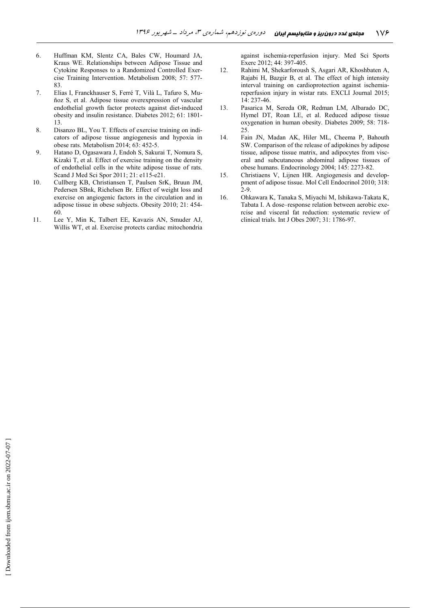- 6. Huffman KM, Slentz CA, Bales CW, Houmard JA, Kraus WE. Relationships between Adipose Tissue and Cytokine Responses to a Randomized Controlled Exercise Training Intervention. Metabolism 2008; 57: 577- 83.
- 7. Elias I, Franckhauser S, Ferré T, Vilà L, Tafuro S, Muñoz S, et al. Adipose tissue overexpression of vascular endothelial growth factor protects against diet-induced obesity and insulin resistance. Diabetes 2012; 61: 1801- 13.
- 8. Disanzo BL, You T. Effects of exercise training on indicators of adipose tissue angiogenesis and hypoxia in obese rats. Metabolism 2014; 63: 452-5.
- 9. Hatano D, Ogasawara J, Endoh S, Sakurai T, Nomura S, Kizaki T, et al. Effect of exercise training on the density of endothelial cells in the white adipose tissue of rats. Scand J Med Sci Spor 2011; 21: e115-e21.
- 10. Cullberg KB, Christiansen T, Paulsen SrK, Bruun JM, Pedersen SBnk, Richelsen Br. Effect of weight loss and exercise on angiogenic factors in the circulation and in adipose tissue in obese subjects. Obesity 2010; 21: 454- 60.
- 11. Lee Y, Min K, Talbert EE, Kavazis AN, Smuder AJ, Willis WT, et al. Exercise protects cardiac mitochondria

against ischemia-reperfusion injury. Med Sci Sports Exerc 2012; 44: 397-405.

- 12. Rahimi M, Shekarforoush S, Asgari AR, Khoshbaten A, Rajabi H, Bazgir B, et al. The effect of high intensity interval training on cardioprotection against ischemiareperfusion injury in wistar rats. EXCLI Journal 2015; 14: 237-46.
- 13. Pasarica M, Sereda OR, Redman LM, Albarado DC, Hymel DT, Roan LE, et al. Reduced adipose tissue oxygenation in human obesity. Diabetes 2009; 58: 718- 25.
- 14. Fain JN, Madan AK, Hiler ML, Cheema P, Bahouth SW. Comparison of the release of adipokines by adipose tissue, adipose tissue matrix, and adipocytes from visceral and subcutaneous abdominal adipose tissues of obese humans. Endocrinology 2004; 145: 2273-82.
- 15. Christiaens V, Lijnen HR. Angiogenesis and developpment of adipose tissue. Mol Cell Endocrinol 2010; 318:  $2 - 9$
- 16. Ohkawara K, Tanaka S, Miyachi M, Ishikawa-Takata K, Tabata I. A dose–response relation between aerobic exercise and visceral fat reduction: systematic review of clinical trials. Int J Obes 2007; 31: 1786-97.